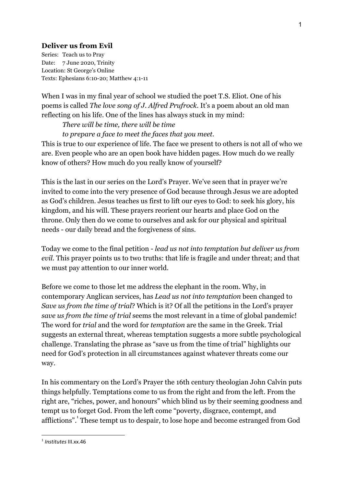## **Deliver us from Evil**

Series: Teach us to Pray Date: 7 June 2020, Trinity Location: St George's Online Texts: Ephesians 6:10-20; Matthew 4:1-11

When I was in my final year of school we studied the poet T.S. Eliot. One of his poems is called *The love song of J. Alfred Prufrock.* It's a poem about an old man reflecting on his life. One of the lines has always stuck in my mind:

*There will be time, there will be time to prepare a face to meet the faces that you meet.*

This is true to our experience of life. The face we present to others is not all of who we are. Even people who are an open book have hidden pages. How much do we really know of others? How much do you really know of yourself?

This is the last in our series on the Lord's Prayer. We've seen that in prayer we're invited to come into the very presence of God because through Jesus we are adopted as God's children. Jesus teaches us first to lift our eyes to God: to seek his glory, his kingdom, and his will. These prayers reorient our hearts and place God on the throne. Only then do we come to ourselves and ask for our physical and spiritual needs - our daily bread and the forgiveness of sins.

Today we come to the final petition - *lead us not into temptation but deliver us from evil.* This prayer points us to two truths: that life is fragile and under threat; and that we must pay attention to our inner world.

Before we come to those let me address the elephant in the room. Why, in contemporary Anglican services, has *Lead us not into temptation* been changed to *Save us from the time of trial*? Which is it? Of all the petitions in the Lord's prayer *save us from the time of trial* seems the most relevant in a time of global pandemic! The word for *trial* and the word for *temptation* are the same in the Greek. Trial suggests an external threat, whereas temptation suggests a more subtle psychological challenge. Translating the phrase as "save us from the time of trial" highlights our need for God's protection in all circumstances against whatever threats come our way.

In his commentary on the Lord's Prayer the 16th century theologian John Calvin puts things helpfully. Temptations come to us from the right and from the left. From the right are, "riches, power, and honours" which blind us by their seeming goodness and tempt us to forget God. From the left come "poverty, disgrace, contempt, and afflictions". These tempt us to despair, to lose hope and become estranged from God

<sup>1</sup> *Institutes* III.xx.46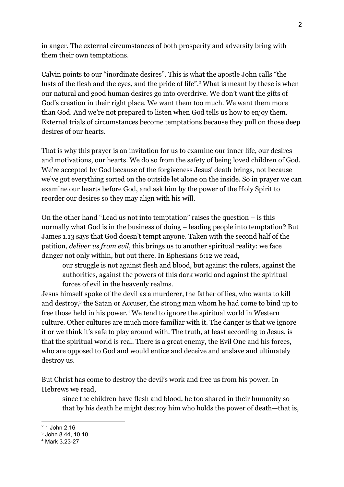in anger. The external circumstances of both prosperity and adversity bring with them their own temptations.

Calvin points to our "inordinate desires". This is what the apostle John calls "the lusts of the flesh and the eyes, and the pride of life".<sup>2</sup> What is meant by these is when our natural and good human desires go into overdrive. We don't want the gifts of God's creation in their right place. We want them too much. We want them more than God. And we're not prepared to listen when God tells us how to enjoy them. External trials of circumstances become temptations because they pull on those deep desires of our hearts.

That is why this prayer is an invitation for us to examine our inner life, our desires and motivations, our hearts. We do so from the safety of being loved children of God. We're accepted by God because of the forgiveness Jesus' death brings, not because we've got everything sorted on the outside let alone on the inside. So in prayer we can examine our hearts before God, and ask him by the power of the Holy Spirit to reorder our desires so they may align with his will.

On the other hand "Lead us not into temptation" raises the question  $-$  is this normally what God is in the business of doing – leading people into temptation? But James 1.13 says that God doesn't tempt anyone. Taken with the second half of the petition, *deliver us from evil*, this brings us to another spiritual reality: we face danger not only within, but out there. In Ephesians 6:12 we read,

our struggle is not against flesh and blood, but against the rulers, against the authorities, against the powers of this dark world and against the spiritual forces of evil in the heavenly realms.

Jesus himself spoke of the devil as a murderer, the father of lies, who wants to kill and destroy,<sup>3</sup> the Satan or Accuser, the strong man whom he had come to bind up to free those held in his power.<sup>4</sup> We tend to ignore the spiritual world in Western culture. Other cultures are much more familiar with it. The danger is that we ignore it or we think it's safe to play around with. The truth, at least according to Jesus, is that the spiritual world is real. There is a great enemy, the Evil One and his forces, who are opposed to God and would entice and deceive and enslave and ultimately destroy us.

But Christ has come to destroy the devil's work and free us from his power. In Hebrews we read,

since the children have flesh and blood, he too shared in their humanity so that by his death he might destroy him who holds the power of death—that is,

 $2.1$  John 2.16

<sup>3</sup> John 8.44, 10.10

<sup>4</sup> Mark 3.23-27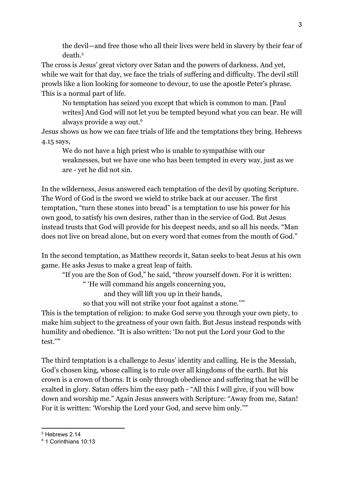the devil—and free those who all their lives were held in slavery by their fear of death.<sup>5</sup>

The cross is Jesus' great victory over Satan and the powers of darkness. And yet, while we wait for that day, we face the trials of suffering and difficulty. The devil still prowls like a lion looking for someone to devour, to use the apostle Peter's phrase. This is a normal part of life.

No temptation has seized you except that which is common to man. [Paul writes] And God will not let you be tempted beyond what you can bear. He will always provide a way out.<sup>6</sup>

Jesus shows us how we can face trials of life and the temptations they bring. Hebrews 4.15 says,

We do not have a high priest who is unable to sympathise with our weaknesses, but we have one who has been tempted in every way, just as we are - yet he did not sin.

In the wilderness, Jesus answered each temptation of the devil by quoting Scripture. The Word of God is the sword we wield to strike back at our accuser. The first temptation, "turn these stones into bread" is a temptation to use his power for his own good, to satisfy his own desires, rather than in the service of God. But Jesus instead trusts that God will provide for his deepest needs, and so all his needs. "Man does not live on bread alone, but on every word that comes from the mouth of God."

In the second temptation, as Matthew records it, Satan seeks to beat Jesus at his own game. He asks Jesus to make a great leap of faith.

"If you are the Son of God," he said, "throw yourself down. For it is written:

" 'He will command his angels concerning you,

and they will lift you up in their hands,

so that you will not strike your foot against a stone.''"

This is the temptation of religion: to make God serve you through your own piety, to make him subject to the greatness of your own faith. But Jesus instead responds with humility and obedience. "It is also written: 'Do not put the Lord your God to the test.''"

The third temptation is a challenge to Jesus' identity and calling. He is the Messiah, God's chosen king, whose calling is to rule over all kingdoms of the earth. But his crown is a crown of thorns. It is only through obedience and suffering that he will be exalted in glory. Satan offers him the easy path - "All this I will give, if you will bow down and worship me." Again Jesus answers with Scripture: "Away from me, Satan! For it is written: 'Worship the Lord your God, and serve him only.''"

<sup>5</sup> Hebrews 2.14

<sup>6</sup> 1 Corinthians 10:13